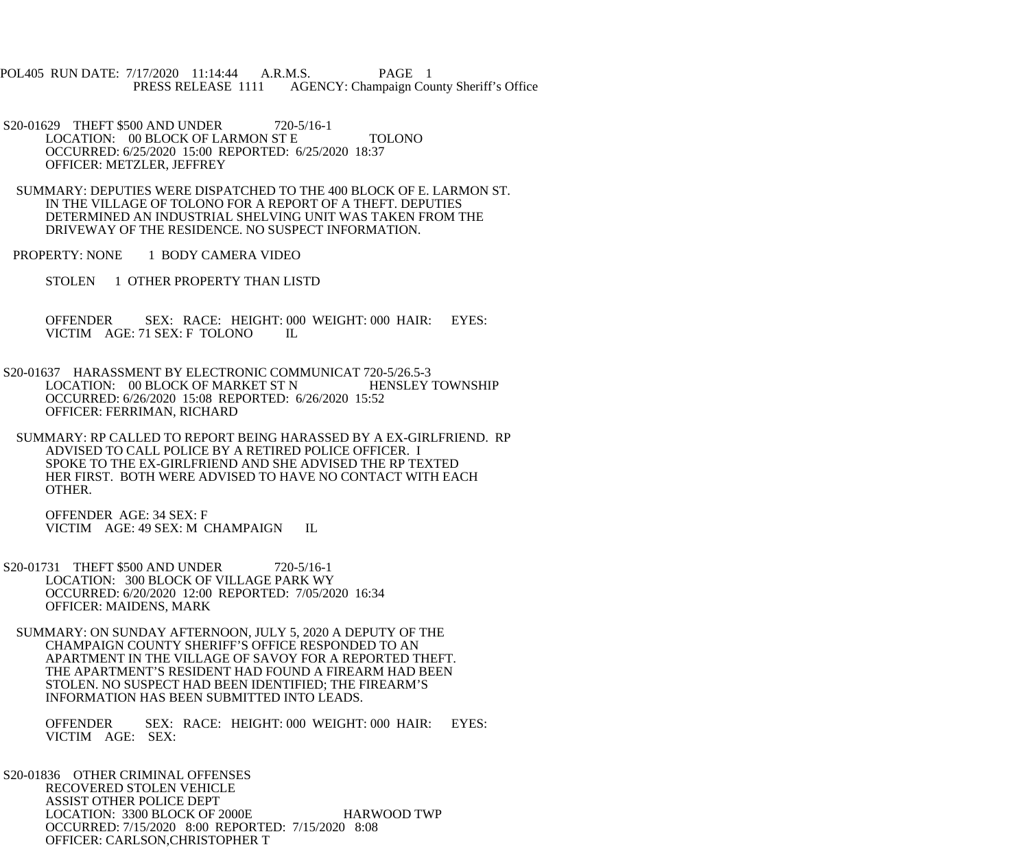POL405 RUN DATE: 7/17/2020 11:14:44 A.R.M.S. PAGE 1 PRESS RELEASE 1111 AGENCY: Champaign County Sheriff's Office

S20-01629 THEFT \$500 AND UNDER 720-5/16-1 LOCATION: 00 BLOCK OF LARMON ST E TOLONO OCCURRED: 6/25/2020 15:00 REPORTED: 6/25/2020 18:37 OFFICER: METZLER, JEFFREY

 SUMMARY: DEPUTIES WERE DISPATCHED TO THE 400 BLOCK OF E. LARMON ST. IN THE VILLAGE OF TOLONO FOR A REPORT OF A THEFT. DEPUTIES DETERMINED AN INDUSTRIAL SHELVING UNIT WAS TAKEN FROM THE DRIVEWAY OF THE RESIDENCE. NO SUSPECT INFORMATION.

PROPERTY: NONE 1 BODY CAMERA VIDEO

STOLEN 1 OTHER PROPERTY THAN LISTD

 OFFENDER SEX: RACE: HEIGHT: 000 WEIGHT: 000 HAIR: EYES: VICTIM AGE: 71 SEX: F TOLONO IL

 S20-01637 HARASSMENT BY ELECTRONIC COMMUNICAT 720-5/26.5-3 LOCATION: 00 BLOCK OF MARKET ST N HENSLEY TOWNSHIP OCCURRED: 6/26/2020 15:08 REPORTED: 6/26/2020 15:52 OFFICER: FERRIMAN, RICHARD

 SUMMARY: RP CALLED TO REPORT BEING HARASSED BY A EX-GIRLFRIEND. RP ADVISED TO CALL POLICE BY A RETIRED POLICE OFFICER. I SPOKE TO THE EX-GIRLFRIEND AND SHE ADVISED THE RP TEXTED HER FIRST. BOTH WERE ADVISED TO HAVE NO CONTACT WITH EACH OTHER.

 OFFENDER AGE: 34 SEX: F VICTIM AGE: 49 SEX: M CHAMPAIGN IL

S20-01731 THEFT \$500 AND UNDER 720-5/16-1 LOCATION: 300 BLOCK OF VILLAGE PARK WY OCCURRED: 6/20/2020 12:00 REPORTED: 7/05/2020 16:34 OFFICER: MAIDENS, MARK

 SUMMARY: ON SUNDAY AFTERNOON, JULY 5, 2020 A DEPUTY OF THE CHAMPAIGN COUNTY SHERIFF'S OFFICE RESPONDED TO AN APARTMENT IN THE VILLAGE OF SAVOY FOR A REPORTED THEFT. THE APARTMENT'S RESIDENT HAD FOUND A FIREARM HAD BEEN STOLEN. NO SUSPECT HAD BEEN IDENTIFIED; THE FIREARM'S INFORMATION HAS BEEN SUBMITTED INTO LEADS.

 OFFENDER SEX: RACE: HEIGHT: 000 WEIGHT: 000 HAIR: EYES: VICTIM AGE: SEX:

 S20-01836 OTHER CRIMINAL OFFENSES RECOVERED STOLEN VEHICLE ASSIST OTHER POLICE DEPT LOCATION: 3300 BLOCK OF 2000E HARWOOD TWP OCCURRED: 7/15/2020 8:00 REPORTED: 7/15/2020 8:08 OFFICER: CARLSON,CHRISTOPHER T